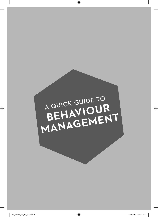# **BEHAVIOUR MANAGEMENT** A QUICK GUIDE TO

 $\bigoplus$ 

 $\bigoplus$ 

 $\bigoplus$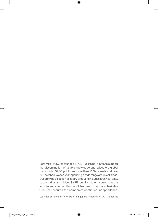Sara Miller McCune founded SAGE Publishing in 1965 to support the dissemination of usable knowledge and educate a global community. SAGE publishes more than 1000 journals and over 800 new books each year, spanning a wide range of subject areas. Our growing selection of library products includes archives, data, case studies and video. SAGE remains majority owned by our founder and after her lifetime will become owned by a charitable trust that secures the company's continued independence.

 $\bigoplus$ 

Los Angeles | London | New Delhi | Singapore | Washington DC | Melbourne

 $\bigoplus$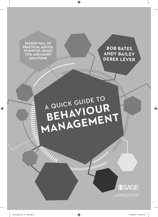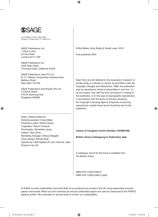

Los Angeles | London | New Delhi Singapore | Washington DC | Melbourne

SAGE Publications Ltd 1 Oliver's Yard 55 City Road London EC1Y 1SP

⊕

SAGE Publications Inc. 2455 Teller Road Thousand Oaks, California 91320

SAGE Publications India Pvt Ltd B 1/I 1 Mohan Cooperative Industrial Area Mathura Road New Delhi 110 044

SAGE Publications Asia-Pacific Pte Ltd 3 Church Street #10-04 Samsung Hub Singapore 049483

Editor: Delayna Spencer Editorial assistant: Orsod Malik Production editor: Nicola Carrier Copyeditor: Sharon Cawood Proofreader: Samantha Lacey Indexer: Gary Kirby Marketing manager: Dilhara Attygalle Cover design: Wendy Scott Typeset by: C&M Digitals (P) Ltd, Chennai, India Printed in the UK

© Bob Bates, Andy Bailey & Derek Lever, 2019

First published 2019

⊕

Apart from any fair dealing for the purposes of research or private study, or criticism or review, as permitted under the Copyright, Designs and Patents Act, 1988, this publication may be reproduced, stored or transmitted in any form, or by any means, only with the prior permission in writing of the publishers, or in the case of reprographic reproduction, in accordance with the terms of licences issued by the Copyright Licensing Agency. Enquiries concerning reproduction outside those terms should be sent to the publishers.

**Library of Congress Control Number: 2018961595**

**British Library Cataloguing in Publication data**

A catalogue record for this book is available from the British Library

ISBN 978-1-5264-2464-8 ISBN 978-1-5264-2465-5 (pbk)

At SAGE we take sustainability seriously. Most of our products are printed in the UK using responsibly sourced papers and boards. When we print overseas we ensure sustainable papers are used as measured by the PREPS grading system. We undertake an annual audit to monitor our sustainability.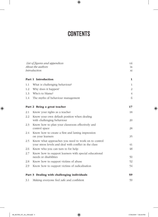# **CONTENTS**

 $\bigoplus$ 

|                   | List of figures and appendices                                                                                | vii            |
|-------------------|---------------------------------------------------------------------------------------------------------------|----------------|
| About the authors |                                                                                                               | ix             |
|                   | <i>Introduction</i>                                                                                           | хi             |
|                   |                                                                                                               |                |
|                   | Part 1 Introduction                                                                                           | 1              |
| 1.1               | What is challenging behaviour?                                                                                | $\mathbf{1}$   |
| 1.2               | Why does it happen?                                                                                           | $\overline{2}$ |
| 1.3               | Who's to blame?                                                                                               | $\overline{4}$ |
| 1.4               | The myths of behaviour management                                                                             | 6              |
|                   | Part 2 Being a great teacher                                                                                  | 17             |
| 2.1               | Know your rights as a teacher                                                                                 | 18             |
| 2.2               | Know your own default position when dealing<br>with challenging behaviour                                     | 20             |
| 2.3               | Know how to plan your classroom effectively and<br>control space                                              | 28             |
| 2.4               | Know how to create a first and lasting impression<br>on your learners                                         | 35             |
| 2.5               | Know what approaches you need to work on to control<br>your stress levels and deal with conflict in the class | 41             |
| 2.6               | Know who you can turn to for help                                                                             | 48             |
| 2.7               | Know how to support learners with special educational<br>needs or disabilities                                | 50             |
| 2.8               | Know how to support victims of abuse                                                                          | 52             |
| 2.9               | Know how to support victims of radicalisation                                                                 | 54             |
|                   | Part 3 Dealing with challenging individuals                                                                   | 59             |
| 3.1               | Making everyone feel safe and confident                                                                       | 59             |

 $\bigoplus$ 

I

 $\bigoplus$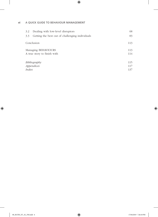$\overline{\phantom{a}}$ 

 $\bigoplus$ 

| 3.2                 | Dealing with low-level disruptors               | 68  |
|---------------------|-------------------------------------------------|-----|
| 3.3                 | Getting the best out of challenging individuals | 83  |
| Conclusion          |                                                 | 113 |
| Managing BEHAVIOURS |                                                 | 113 |
|                     | A true story to finish with                     | 114 |
|                     | Bibliography                                    | 115 |
|                     | Appendices                                      | 117 |
| <i>Index</i>        |                                                 | 137 |

 $\bigoplus$ 

 $\overline{\phantom{a}}$ 

 $\bigoplus$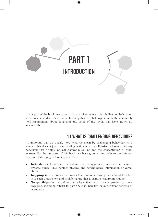

 $\bigoplus$ 

In this part of the book, we want to discuss what we mean by challenging behaviour, why it occurs and who's to blame. In doing this, we challenge some of the commonly held assumptions about behaviour and some of the myths that have grown up around this.

## 1.1 What is challenging behaviour?

It's important that we qualify here what we mean by challenging behaviour. As a teacher, this doesn't just mean dealing with violent or offensive behaviour; it's any behaviour that disrupts normal classroom routine and the concentration of other learners. For the purposes of this book, we have grouped and refer to the different types of challenging behaviour, as either:

- Intimidatory behaviour: behaviour that is aggressive, offensive or violent towards others. This includes physical and psychological intimidation or verbal abuse.
- **Inappropriate** behaviour: behaviour that is more annoying than intimidatory, but is of such a persistent and prolific nature that it disrupts classroom routine.
- Non-participative behaviour: behaviour that is extremely passive or nonengaging, including refusal to participate in activities or intermittent patterns of attendance.

01\_BATES\_ET\_AL\_PART\_01.indd 1 17/04/2019 7:29:09 PM

⊕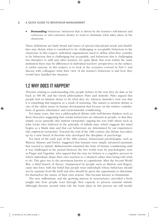**Demanding** behaviour: behaviour that is driven by the learner's self-interest and conscious or sub-conscious desires to want to dominate what takes place in the classroom.

⊕

These definitions are fairly broad and issues of special educational needs and disabilities may dictate what is considered to be challenging or acceptable behaviour in the classroom. In this respect, individual organisations need to define what they consider to be behaviour that is challenging but acceptable, and behaviour that is challenging but disruptive to staff and other learners. It's quite likely that even within the same institution there may be differences in individual teachers' perspectives on the subject. A useful exercise, in this respect, is to look at the scenarios covered in Part C and discuss with colleagues what their view of the learner's behaviour is and how they would have handled the situation.

## 1.2 WHY DOES IT HAPPEN?

Theories relating to understanding why people behave in the way they do date as far back as 500 BC and the Greek philosophers Plato and Aristotle. Plato argued that people had an intrinsic desire to do what they do, whereas Aristotle's view was that it is something that happens as a result of nurturing. The *nature vs nurture* debate is one of the oldest issues in human development that focuses on the relative contributions of genetic inheritance and environmental conditioning.

For many years, this was a philosophical debate with well-known thinkers such as René Descartes suggesting that certain behaviours are inherent in people, or that they simply occur naturally (the *nativist* viewpoint), arguing the toss with others such as John Locke who believed in the principle of *tabula rasa*, which suggests the mind begins as a blank slate and that our behaviours are determined by our experiences (the *empiricist* viewpoint). Towards the end of the 19th century, the debate was taken up by a new breed of theorists who developed the discipline of psychology.

For most of the early part of the 20th century, behavioural psychologists, such as Watson, Skinner and Pavlov, suggested that humans were simply advanced mammals that reacted to stimuli. *Behaviourism* remained the basis of human conditioning until it was challenged in the period between the two world wars by psychologists, such as Piaget and Vygotsky, who argued that the way we behave is a cognitive process in which individuals shape their own reaction to a situation rather than being told what to do. This gave rise to the movement known as *cognitivism*. After the Second World War, a third branch of theory, championed by people such as Maslow and Rogers, came into force with the belief that people were individuals whose behaviour should not be separate from life itself and who should be given the opportunity to determine for themselves the nature of their own actions. This became known as *humanism*.

The new millennium, and the growing interest in neuroscience, provided a fresh insight into how people react through their capacity to process external stimuli. Although theories around what role the brain plays in this process are still mostly

♠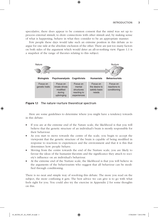speculative, there does appear to be common consent that the mind was set up to process external stimuli, to draw connections with other stimuli and, by making sense of what is happening, behave in what they consider to be an appropriate manner.

 $\textcircled{\scriptsize{*}}$ 

Few people these days would take such an extreme position in this debate as to argue for one side at the absolute exclusion of the other. There are just too many factors on both sides of the argument which would deter an all-or-nothing view. Figure 1.1 is a snapshot of the range of theories relating to this subject.



**Figure 1.1** The nature—nurture theoretical spectrum

Here are some guidelines to determine where you might have a tendency towards in this debate:

- If you are at the extreme end of the Nature scale, the likelihood is that you will believe that the genetic structure of an individual's brain is mostly responsible for their behaviour.
- As you start to move towards the centre of the scale, you begin to accept the viewpoint that the genetic structure of the brain is capable of being modified in response to reactions to experiences and the environment and that it is this that determines how people behave.
- Moving from the centre towards the end of the Nurture scale, you are likely to favour the ideas of the humanist theorists and the significance they attach to society's influence on an individual's behaviour.
- At the extreme end of the Nurture scale, the likelihood is that you will believe in the arguments of the behaviourists who suggest that all behaviour can be modified through conditioning.

There is no neat and simple way of resolving this debate. The more you read on the subject, the more confusing it gets. The best advice we can give is to go with what feels right for you. You could also try the exercise in Appendix 2 for some thoughts on this.

01\_BATES\_ET\_AL\_PART\_01.indd 3 17/04/2019 7:29:13 PM

⊕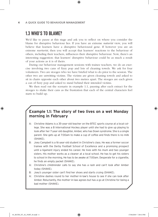# 1.3 Who's to blame?

We'd like to pause at this stage and ask you to reflect on where you consider the blame for disruptive behaviour lies. If you have an extreme *naturist* view, you will believe that learners have a disruptive behavioural gene. If however you are an extreme *nurturist*, then you will accept that learners' reactions to the behaviour of others, including their teachers, influences their disruptive behaviour. Now, there's an interesting suggestion: that learners' disruptive behaviour could be as much a result of your actions as it is of theirs.

 $\textcircled{\scriptsize\textsf{P}}$ 

During our behaviour management sessions with trainee teachers, we do an exercise involving two cans of fizzy pop and lots of cleaning towels. We ask for four volunteers. Two are stooges who we have briefed what to do prior to the session. The other two are unwitting victims. The victims are given cleaning towels and asked to sit in chairs opposite each other about two metres apart. The stooges are each given a can of fizzy pop and asked to stand behind their intended victims.

We then read out the scenario in example 1.1, pausing after each extract for the stooges to shake their cans as the frustration that each of the central characters feel starts to build up.

## **Example 1.1: The story of two lives on a wet Monday morning in February**

- A: Christine Adams is a 35-year-old teacher on the BTEC sports course at a local college. She was a B International Hockey player until she had to give up playing to look after her 7-year-old daughter, Amber, who has Down syndrome. She is a single parent. She gets up at 7:00am to make a cup of coffee and finds there is no milk (SHAKE).
- B: Joey Campbell is a 16-year-old student in Christine's class. He was a former soccer trainee with the Derby Football School of Excellence and a promising prospect until a ligament injury ended his career. He lives with his mum and two younger sisters. His mother works as a cleaner at a local school. He has to get his sisters to school in the morning, He has to be awake at 7:00am. Desperate for a cigarette, he finds an empty packet (SHAKE).
- A: Christine's childminder calls to say she has a rash and can't look after Amber today (SHAKE).
- B: Joey's younger sister can't find her shoes and starts crying (SHAKE).
- A: Christine dashes round to her mother-in-law's house to see if she can look after Amber. Reluctantly, the mother-in-law agrees but has a go at Christine for being a bad mother (SHAKE).

⊕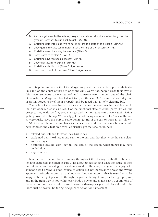B: As they get near to the school, Joey's older sister tells him she has forgotten her gym kit. Joey has to run back to get it (SHAKE).

 $\textcircled{\scriptsize{*}}$ 

- A: Christine gets into class five minutes before the start of the lesson (SHAKE).
- B: Joey gets into class ten minutes after the start of the lesson (SHAKE).
- A: Christine asks Joey why he was late (SHAKE).
- B: Joey starts to explain (SHAKE).
- A: Christine says 'excuses, excuses' (SHAKE).
- B: Joey tries again to explain (SHAKE).
- A: Christine cuts him off (SHAKE vigorously).
- B: Joey storms out of the class (SHAKE vigorously).

At this point, we ask both of the *stooges* to 'point the can of fizzy pop at their victims and on the count of three to open the can'. We've had people close their eyes at this stage, someone once screamed and someone even jumped out of the chair. Obviously, the *stooges* are briefed not to open the can. We're sure that one day one of us will forget to brief them properly and be faced with a hefty cleaning bill.

The point of this exercise is to show that friction between teacher and learner in the classroom can arise as a result of the emotional state of either party. We ask the group to stay with the fizzy pop analogy and say how they can prevent their victims getting covered with pop. We usually get the following responses: Don't shake the can so vigorously, leave the pop to settle down, get rid of the can or open it very slowly.

We then get them to come back to the scenario and discuss how Christine could have handled the situation better. We usually get that she could have:

- relaxed and listened to what Joey had to say
- explained that she'd had a bad start to the day and that they wipe the slate clean and start again
- postponed dealing with Joey till the end of the lesson when things may have cooled down
- stayed in bed.

♠

If there is one common thread running throughout the dealings with all of the challenging characters included in Part C, it's about understanding what the cause of their behaviour is and reacting appropriately to this. Showing that you are angry with someone isn't always a good course of action but not necessarily always the wrong approach. Aristotle wrote that 'anybody can become angry – that is easy, but to be angry with the right person, to the right degree, at the right time, for the right purpose and in the right way is not within everybody's power and is not easy'. Get any one of these wrong and you could cause long-term damage to your relationship with the individual or, worse, be facing disciplinary action for harassment.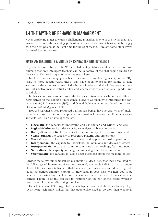# 1.4 The myths of behaviour management

Never displaying anger towards a challenging individual is one of the myths that have grown up around the teaching profession. Aristotle says that it is okay to be angry with the right person at the right time for the right reason. Here are some other myths that we'd like to debunk:

⊕

#### Myth #1: Teaching is a virtue of character not intellect

No, you haven't misread this. We are challenging Aristotle's view of teaching and claiming that only intelligent teachers can be in control of the challenging children in their class. We need to qualify what we mean here.

Intellect has for many years been measured using Intelligence Quotient (IQ) tests. In more recent years, these tests have been criticised for failing to take account of the complex nature of the human intellect and the inference that there are links between intellectual ability and characteristics such as race, gender and social class.

In this section, we want to look at the theories of two writers who offered different perspectives on the subject of intelligence: Howard Gardner, who introduced the concept of *multiple intelligences* (1993) and Daniel Goleman, who introduced the concept of *emotional intelligence* (1996).

Howard Gardner (1993) proposed that human beings have several types of intelligence that form the potential to process information in a range of different contexts and cultures. His nine intelligences are:

- **Linguistic**: the capacity to understand and use spoken and written language.
- **Logical–Mathematical**: the capacity to analyse problems logically.
- **Bodily–Kinaesthetic**: the capacity to use and interpret expressive movement.
- **Visual–Spatial**: the capacity to recognise patterns and dimensions.
- **Musical**: the capacity to compose, perform and appreciate musical patterns.
- **Interpersonal**: the capacity to understand the intentions and desires of others.
- **Intrapersonal**: the capacity to understand one's own feelings, fears and needs.
- Naturalistic: the capacity to recognise and categorise objects in nature.
- **Spiritualistic**: the capacity to tackle deep questions about the meaning of life.

Gardner made two fundamental claims about his ideas: first, that they accounted for the full range of human cognition; and, second, that each individual has a unique blend of the various intelligences that has made them who they are. Identifying individual differences amongst a group of individuals in your class will help you to be better at understanding the learning process and more prepared to work with all learners. Failure to do this can lead to frustration on the part of the learner which in turn can result in them disrupting the class.

Daniel Goleman (1996) suggested that intelligence is not just about developing a high IQ or being technically skilled, but that people also need to develop their emotional

01\_BATES\_ET\_AL\_PART\_01.indd 6 17/04/2019 7:29:13 PM

♠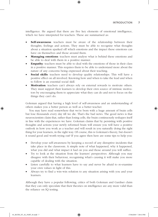intelligence. He argued that there are five key elements of emotional intelligence, which we have interpreted for teachers. These are summarised as:

 $\textcircled{\scriptsize{*}}$ 

- **Self-awareness**: teachers must be aware of the relationship between their thoughts, feelings and actions. They must be able to recognise what thoughts about a situation sparked off which emotions and the impact these emotions can have on themselves and those around them.
- **Managing emotions**: teachers must analyse what is behind these emotions and be able to deal with them in a positive manner.
- **Empathy:** teachers must be able to deal with the emotions of those in their class in a positive manner. This requires them to be able to understand more about the nature of any concerns being expressed about their teaching.
- **Social skills**: teachers need to develop quality relationships. This will have a positive effect on all involved. Knowing how and when to take the lead and when to follow is an essential social skill.
- **Motivation**: teachers can't always rely on external rewards to motivate others. They must support their learners to develop their own source of intrinsic motivators by encouraging them to appreciate what they can do and not to focus on the things they can't do.

Goleman argued that having a high level of self-awareness and an understanding of others makes you a better person as well as a better teacher.

You may have read somewhere that we're born with a huge amount of brain cells but lose thousands every day till we die. That's the bad news. The good news is that neuroscientists claim that, rather than losing cells, the brain continuously reshapes itself in line with the experiences we have. Goleman claims that by persisting with positive thoughts and actions your newly reformed brain will ensure you will have a positive outlook in how you work as a teacher and will result in you naturally doing the right thing for your learners, in the right way. Of course, this is Goleman's theory, but doesn't it sound good and worth trying out? If you agree then here are some tips to help you:

- Develop your self-awareness by keeping a record of any disruptive incidents that take place in the classroom. A simple note of what happened, why it happened, what you did and what impact it had on you and those around you will suffice.
- Try to look at the situation from the learners' perspectives. Although you may disagree with their behaviour, recognising what's causing it will make you more capable of dealing with the situation.
- Listen carefully to what learners have to say and never be afraid to re-examine your own values in light of this.
- Always try to find a win–win solution to any situation arising with you and your learners.

Although they have a popular following, critics of both Goleman and Gardner claim that they can only speculate that their theories on intelligence are any more valid than the reliance on IQ testing.

01\_BATES\_ET\_AL\_PART\_01.indd 7 17/04/2019 7:29:13 PM

♠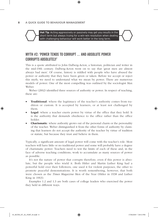

♠

**Hot Tip**: Acting aggressively or passively may get you results in the short term but always trying for a win–win resolution when dealing with challenging behaviour will work better in the long term.

 $\textcircled{\scriptsize{*}}$ 

## Myth #2: 'Power tends to corrupt … and absolute power corrupts absolutely'

This is a quote attributed to John Dalberg-Acton, a historian, politician and writer in the mid-19th century. Dalberg-Acton went on to say that 'great men are almost always bad men'. Of course, history is riddled with people who have abused the power or authority that they have been given or taken. Before we accept or reject this myth, we need to understand what we mean by power. There are numerous models of power. One of the most compelling was outlined by the sociologist Max Weber.

Weber (2002) identified three sources of authority or power. In respect of teaching, these are:

- Traditional: where the legitimacy of the teacher's authority comes from tradition or custom. It is accepted by learners, or at least not challenged by them.
- Legal: where a teacher exerts power by virtue of the office that they hold. It is the authority that demands obedience to the office rather than the office holder.
- **Charismatic:** where authority grows out of the personal charm or the personality of the teacher. Weber distinguished it from the other forms of authority by claiming that learners do not accept the authority of the teacher by virtue of tradition or statute, but because they trust and believe in them.

Typically, a significant amount of legal power will come with the teacher's role. Most teachers will have little or no traditional power and some will probably have a degree of charismatic power. Teachers need to test the limits of each of these and, in the face of adverse teaching conditions, work to accumulate as many sources of power as possible.

It's not the nature of power that corrupts therefore, even if this power is absolute, but the people who wield it. Both Hitler and Martin Luther King had a powerful hold over their followers; one used it for violent purposes, the other to promote peaceful demonstrations. It is worth remembering, however, that both were chosen as the *Times Magazine* Men of the Year (Hitler in 1938 and Luther King in 1963).

Examples 1.2 and 1.3 are both cases of college leaders who exercised the power they held in different ways.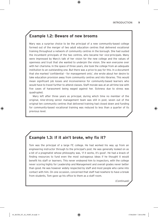## **Example 1.2: Beware of new brooms**

Mary was a surprise choice to be the principal of a new community-based college formed out of the merger of two adult education centres that delivered vocational training throughout a network of community centres in the borough. She had ousted the incumbent principals of the two centres, who became her vice-principals. Many were impressed by Mary's talk of her vision for the new college and the values of openness and trust that she wanted to underpin the vision. She won everyone over with her charisma. In the space of three years, she took the college from an adequate institution to an outstanding one. But there was a price to pay for this. In a document that she marked 'confidential – for management only', she wrote about her desire to take education provision away from community centres and into libraries. This would mean significant job losses and inconvenience for community-based learners who would have to travel further to attend classes. Staff morale was at an all-time low with five cases of harassment being waged against her. Sickness due to stress was quadrupled.

 $\bigoplus$ 

Mary left after three years as principal, during which time no member of the original, nine-strong senior management team was still in post, seven out of the original ten community centres that delivered training had closed down and funding for community-based vocational training was reduced to less than a quarter of its previous level.

## **Example 1.3: If it ain't broke, why fix it?**

Tom was the principal of a large FE college. He had worked his way up from an engineering instructor through to the principal's post. He was generally looked on as a bit of a pragmatist whose philosophy was, 'if it works, it's good'. He had a knack of finding resources to fund even the most outrageous ideas if he thought it would benefit his staff or learners. This never endeared him to inspectors, with the college never scoring highly for Leadership and Management and overall grades never better than good. He was however widely respected by staff and most people who came into contact with him. On one occasion, concerned that staff had nowhere to have a break from students, Tom gave up his office to them as a staff room.

*(Continued)*

⊕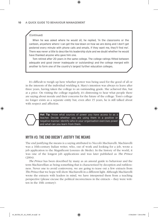#### (Continued)

When he was asked where he would sit, he replied, 'In the classrooms or the canteen, anywhere where I can get the low-down on how we are doing and I don't get pestered every minute with phone calls and emails. If they want me, they'll find me'. There was never a title to describe his leadership style and we doubt whether he would have thanked anyone who gave him one.

⊕

Tom retired after 20 years in the same college. The college ratings flitted between adequate and good (never inadequate or outstanding) and the college merged with another to form one of the country's largest further education colleges.

It's difficult to weigh up here whether power was being used for the good of all or in the interests of the individual wielding it. Mary's intention was always to leave after three years, having taken the college to an outstanding grade. She achieved this, but at a price. On visiting the college regularly, it's distressing to hear what people there are saying about morale and their concerns for the future of the college. Tom's college no longer exists as a separate entity but, even after 15 years, he is still talked about with respect and affection.



♠

**Hot Tip**: Know what sources of power you have access to as a teacher. Decide whether you are using them in a positive or negative manner. Identify who in your organisation exercises power and what can you learn from them.

### Myth #3: The end doesn't justify the means

The end justifying the means is a saying attributed to Niccolò Machiavelli. Machiavelli was a 16th-century Italian writer, who, out of work and looking for a job, wrote a job application to the Magnificent Lorenzo de Medici. In the history of the world, it was one of the longest job applications and was later published as *The Prince* (2004).

*The Prince* has been described by many as an amoral guide to behaviour and the term Machiavellian as being something that is characterised by deception and ruthlessness. Never one to avoid controversy, we are going to tease out a few extracts from *The Prince* that we hope will show Machiavelli in a different light. Although Machiavelli wrote the extracts with leaders in mind, we have interpreted them from a teaching perspective (please excuse the political incorrectness in the extracts – they were written in the 16th century):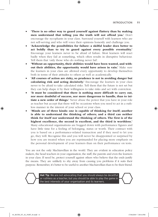• 'There is no other way to guard yourself against flattery than by making men understand that telling you the truth will not offend you.' Don't encourage the sycophants in your class. Surround yourself with learners who are not self-serving and who will voice their opinions honestly and challenge you.

⊕

- 'Acknowledge the possibilities for failure: a skilful leader does better to act boldly than to try to guard against every possible eventuality.' Encourage your learners never to be afraid of failure. Most learners will react badly when they fail at something, which often results in disruptive behaviour. Tell them that 'only those who do nothing never fail'.
- 'Without an opportunity, their abilities would have been wasted, and without their abilities, the opportunity would have arisen in vain.' Make sure the learners in your class are allowed every opportunity to develop themselves both in terms of their attitudes to others as well as academically.
- 'All courses of action are risky, so prudence is not in avoiding danger but calculating risk and acting decisively.' Encourage the learners in your class never to be afraid to take calculated risks. Tell them that the future is not set but they can help shape it by their willingness to take risks and act with conviction.
- 'It must be considered that there is nothing more difficult to carry out, nor more doubtful of success, nor more dangerous to handle, than to initiate a new order of things.' Never abuse the power that you have in your role as teacher but accept that there will be occasions when you need to act in a ruthless manner in the interest of your school or your class.
- 'Minds are of three kinds: one is capable of thinking for itself; another is able to understand the thinking of others; and a third can neither think for itself nor understand the thinking of others. The first is of the highest excellence, the second is excellent, and the third is worthless.' Many educational organisations are bogged down with performance figures and have little time for a feeling of belonging, status or worth. Their contract with you is based on a performance-related transaction and if they need to let you go, they will. Recognise this and you will never be disappointed or surprised by how you are treated when you are reprimanded for placing more emphasis on the personal development of your learners than on their performance on tests.

You are not the only Machiavellian in the world. They are evident in education policy makers, the head teachers in your organisation, the staff, the parents and even the learners in your class. If need be, protect yourself against others who believe that the ends justify the means. They are unlikely to shy away from causing you problems if it suits their purpose. Remember, it's better to be useful to another Machiavellian than to be their friend.

> Hot Tip: We are not advocating that you should always be deceitful or ruthless as a teacher, but you should be able to play the game in the best interests of your organisation and its learners.

♠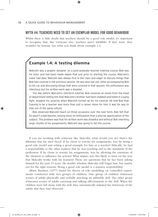## Myth #4: Teachers need to set an exemplar model for good behaviour

 $\textcircled{\scriptsize{*}}$ 

Whilst there is little doubt that teachers should be a good role model, it's important to recognise that, like everyone else, teachers aren't infallible. If they were, they wouldn't be human. See what you think about example 1.4.

# **Example 1.4: A testing dilemma**

Malcolm was a graphic designer on a post-graduate teacher training course. Bob was his tutor and had been made aware that just prior to starting the course, Malcolm's sister had died. Malcolm was always first in the class and eager to discuss things that Bob had covered in the previous session. He was also last out, often accompanying Bob to his car and discussing things that were covered in that session. His enthusiasm was infectious but his written work was a disaster.

The day before Malcolm's mid-term tutorial, Bob received an email from the head of department telling him that Malcolm's brother had been stabbed and killed in a gang fight. Imagine his surprise when Malcolm turned up for his tutorial. He told Bob that training to be a teacher was more than just a career move for him; it was his way to stay out of the gang culture.

Bob observed Malcolm teach on three occasions over the next term. Bob felt that he wasn't a bad teacher, relying more on enthusiasm than a precise appreciation of the subject. The problem was that his written work was dreadful and without Bob rewriting large chunks of his assignments, Malcolm was going to fail the course.

If you are working with someone like Malcolm, what would you do? Here's the dilemma that his tutor faced: If he chose to rewrite his assignments, was he being a good role model and setting a good example for him as a teacher? Ethically, he had a responsibility to the other trainees that he was teaching and to the standards of the profession. If he chose to rewrite his assignments, was he allowing the emotions of the situation to influence his actions? What impact was this likely to have on the way that Malcolm works with his learners? These are questions that he has been asking himself for the past 15 years. He doubts whether Malcolm will forget him, but maybe not for the right reasons. Being a good role model is a massive responsibility!

Albert Bandura (1977) based his theory of role modelling on controlled experiments conducted with two groups of children. One group of children witnessed scenes of adults physically and verbally attacking an inflatable doll. The other group witnessed scenes of adults caressing and talking affectionately to the doll. When the children were left alone with the doll, they automatically imitated the behaviour of the adults that they had observed.

♠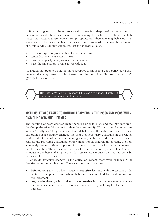Bandura suggests that the observational process is underpinned by the notion that behaviour modification is achieved by: observing the actions of others, mentally rehearsing whether these actions are appropriate and then initiating behaviour that was considered appropriate. In order for someone to successfully imitate the behaviour of a role model, Bandura suggested that the individual must:

 $\textcircled{\scriptsize{*}}$ 

- be encouraged to pay attention to the behaviour
- remember what was seen or heard
- have the capacity to reproduce the behaviour
- have the motivation to want to reproduce it.

He argued that people would be more receptive to modelling good behaviour if they believed that they were capable of executing the behaviour. He used the term *selfefficacy* to describe this.

> **Hot Tip**: Don't take your responsibilities as a role model lightly but recognise that you are not infallible.

## Myth #5: It was easier to control learners in the 1950s and 1960s when discipline was much firmer

The question of 'were children better behaved prior to 1965, and the introduction of the Comprehensive Education Act, than they are post 1965?' is a matter for conjecture. We don't really want to get embroiled in a debate about the virtues of comprehensive education but it certainly changed the shape of secondary education in the UK by getting rid of the tripartite system of grammar, technical and secondary modern schools and providing educational opportunities for all children; not dividing them up at an early age into different 'opportunity groups' on the basis of a questionable instrument of selection. The cynical view of the old grammar school system is that it set out to educate the best and forget about the rest (wow, we guess that we did get a bit embroiled in the debate).

Alongside structural changes in the education system, there were changes in the theories underpinning learning. These can be summarised as:

- **behaviourist** theory, which relates to **reactive** learning with the teacher at the centre of the process and where behaviour is controlled by conditioning and reinforcement
- **cognitivist** theory, which relates to **responsive** learning where mental acts are the primary aim and where behaviour is controlled by fostering the learner's selfinterests

♠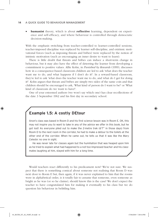**humanist** theory, which is about **reflective** learning, dependent on experience and self-efficacy, and where behaviour is controlled through democratic decision-making.

 $\textcircled{\scriptsize{*}}$ 

With the emphasis switching from teacher-controlled to learner-controlled sessions, teacher-imposed discipline was replaced by learner self-discipline, and extrinsic motivational forces (such as imposing threats and bribes) were replaced by the notion of intrinsic motivation (such as encouraging an inner desire to want to learn).

There is little doubt that threats and bribes can induce a short-term change in behaviour, but it may also have the effect of deterring the learner from developing a commitment to positive values. Alfie Kohn, in *Punished by Rewards* (1999), discusses how in a consequence-based classroom children are led to ask 'what does the teacher want me to do, and what happens if I don't do it?'. In a reward-based classroom, they're led to ask 'what does the teacher want me to do, and what do I get for doing it?'. Kohn argues that threats and bribes are simply two sides of the same coin and that children should be encouraged to ask, 'What kind of person do I want to be?' or 'What kind of classroom do we want to have?'.

One of your esteemed authors (we won't say which one) has clear recollections of the date 3 September 1962 and his first day in secondary school.

## **Example 1.5: A costly DEtour**

Anon's class was based in Room D and his first science lesson was in Room E. OK, this may not inspire you to want to take in any of the advice we offer in this book, but he got lost! As everyone piled out to make the 2-metre trek (6'7" in those days) from Room D to the next room in the corridor, he had to make a detour to the toilets at the other end of the corridor. When he came out, he tells us that it was like the *Mary Celeste*: no one in sight.

He was never late for classes again but the humiliation that was heaped upon him as he tried to explain what had happened to a not-too-impressed teacher and his classmates laughing at him, stayed with him for a long time.

Would teachers react differently to his predicament now? We're not sure. We suspect that there is something comical about someone not realising that Room D was next door to Room E but, then again, if it was never explained to him that the rooms were in alphabetical order, is it totally fair to assume that someone, even someone as bright as he was (or so he claims), should know this is the case? We don't expect the teacher to have congratulated him for making it eventually to his class but we do question his behaviour in belittling him.

♠